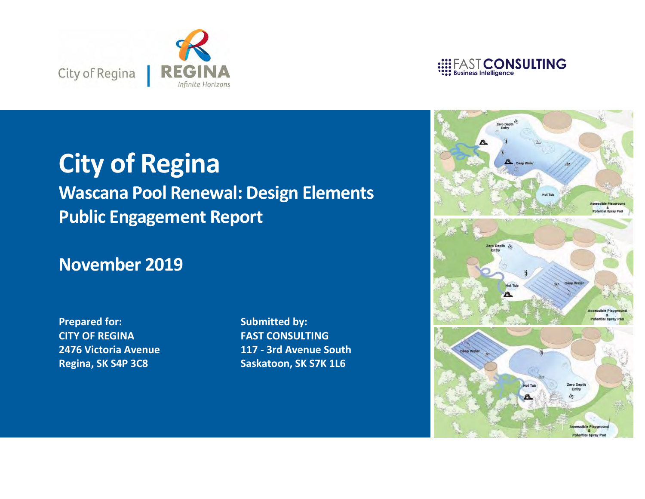



## **City of Regina**

## **Wascana Pool Renewal: Design Elements Public Engagement Report**

## **November 2019**

**Prepared for: CITY OF REGINA 2476 Victoria Avenue Regina, SK S4P 3C8**

**Submitted by: FAST CONSULTING 117 - 3rd Avenue South Saskatoon, SK S7K 1L6**

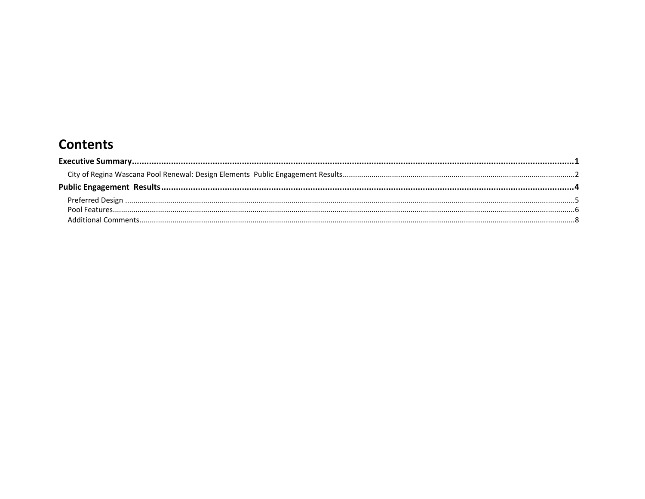## **Contents**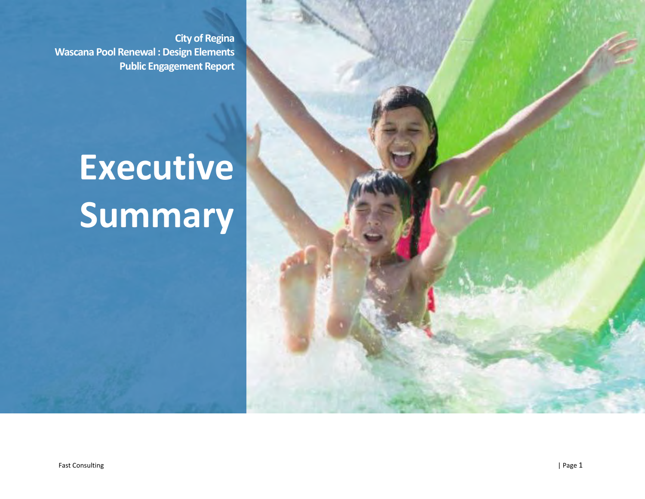**City of Regina Wascana Pool Renewal : Design Elements Public Engagement Report**

## **Executive Summary**

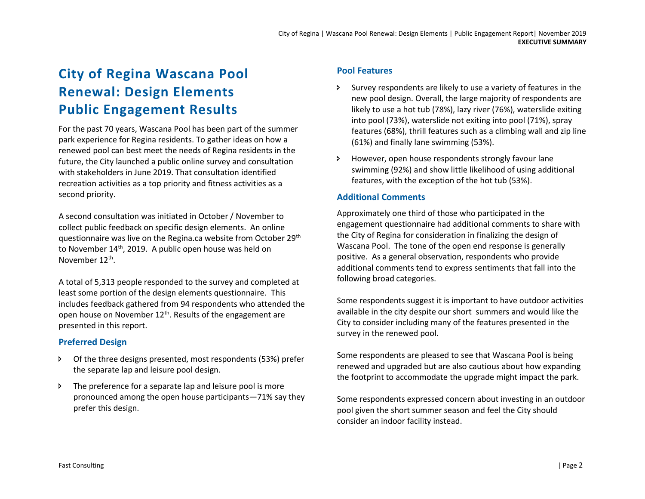## <span id="page-3-0"></span>**City of Regina Wascana Pool Renewal: Design Elements Public Engagement Results**

For the past 70 years, Wascana Pool has been part of the summer park experience for Regina residents. To gather ideas on how a renewed pool can best meet the needs of Regina residents in the future, the City launched a public online survey and consultation with stakeholders in June 2019. That consultation identified recreation activities as a top priority and fitness activities as a second priority.

A second consultation was initiated in October / November to collect public feedback on specific design elements. An online questionnaire was live on the Regina.ca website from October 29th to November 14<sup>th</sup>, 2019. A public open house was held on November 12<sup>th</sup>.

A total of 5,313 people responded to the survey and completed at least some portion of the design elements questionnaire. This includes feedback gathered from 94 respondents who attended the open house on November 12<sup>th</sup>. Results of the engagement are presented in this report.

#### **Preferred Design**

- Of the three designs presented, most respondents (53%) prefer the separate lap and leisure pool design.
- The preference for a separate lap and leisure pool is more pronounced among the open house participants—71% say they prefer this design.

#### **Pool Features**

- Survey respondents are likely to use a variety of features in the new pool design. Overall, the large majority of respondents are likely to use a hot tub (78%), lazy river (76%), waterslide exiting into pool (73%), waterslide not exiting into pool (71%), spray features (68%), thrill features such as a climbing wall and zip line (61%) and finally lane swimming (53%).
- However, open house respondents strongly favour lane swimming (92%) and show little likelihood of using additional features, with the exception of the hot tub (53%).

#### **Additional Comments**

Approximately one third of those who participated in the engagement questionnaire had additional comments to share with the City of Regina for consideration in finalizing the design of Wascana Pool. The tone of the open end response is generally positive. As a general observation, respondents who provide additional comments tend to express sentiments that fall into the following broad categories.

Some respondents suggest it is important to have outdoor activities available in the city despite our short summers and would like the City to consider including many of the features presented in the survey in the renewed pool.

Some respondents are pleased to see that Wascana Pool is being renewed and upgraded but are also cautious about how expanding the footprint to accommodate the upgrade might impact the park.

Some respondents expressed concern about investing in an outdoor pool given the short summer season and feel the City should consider an indoor facility instead.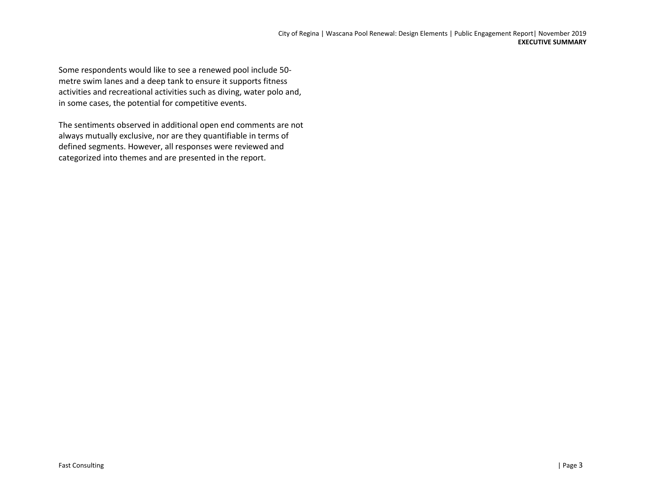Some respondents would like to see a renewed pool include 50 metre swim lanes and a deep tank to ensure it supports fitness activities and recreational activities such as diving, water polo and, in some cases, the potential for competitive events.

The sentiments observed in additional open end comments are not always mutually exclusive, nor are they quantifiable in terms of defined segments. However, all responses were reviewed and categorized into themes and are presented in the report.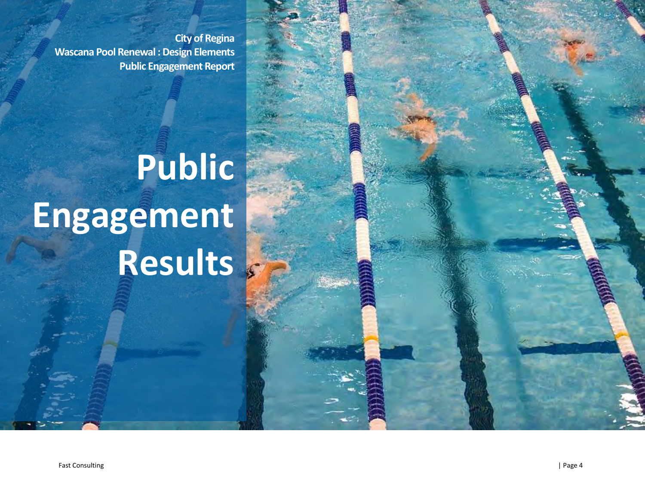**City of Regina Wascana Pool Renewal : Design Elements Public Engagement Report**

# **Public Engagement Results**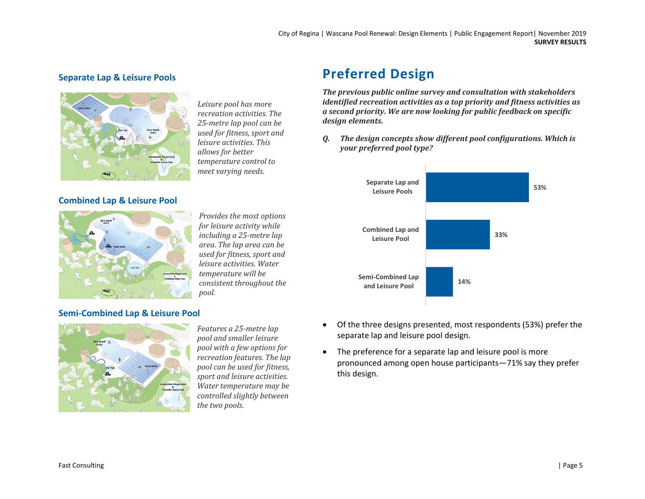#### **Separate Lap & Leisure Pools**



#### **Combined Lap & Leisure Pool**



*Provides the most options for leisure activity while including a 25-metre lap area. The lap area can be used for fitness, sport and leisure activities. Water temperature will be consistent throughout the pool.*

*Leisure pool has more recreation activities. The 25-metre lap pool can be used for fitness, sport and leisure activities. This* 

*temperature control to meet varying needs.*

#### **Semi-Combined Lap & Leisure Pool**



*Features a 25-metre lap pool and smaller leisure pool with a few options for recreation features. The lap pool can be used for fitness, sport and leisure activities. Water temperature may be controlled slightly between the two pools.*

### <span id="page-6-0"></span>**Preferred Design**

*The previous public online survey and consultation with stakeholders identified recreation activities as a top priority and fitness activities as a second priority. We are now looking for public feedback on specific design elements.*

*Q. The design concepts show different pool configurations. Which is your preferred pool type?*



- Of the three designs presented, most respondents (53%) prefer the separate lap and leisure pool design.
- The preference for a separate lap and leisure pool is more pronounced among open house participants—71% say they prefer this design.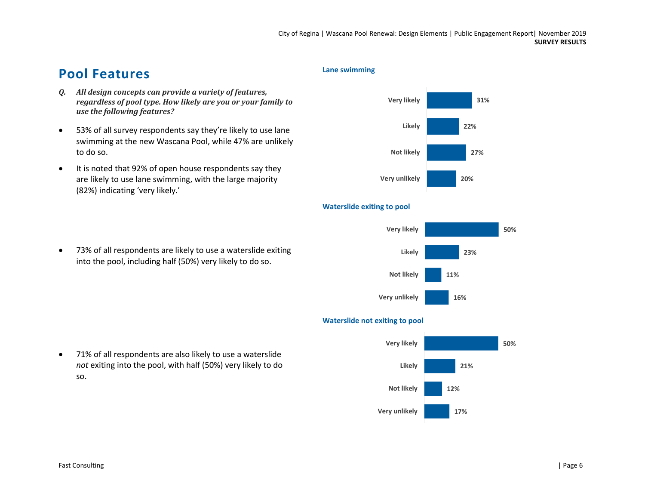## <span id="page-7-0"></span>**Pool Features**

- *Q. All design concepts can provide a variety of features, regardless of pool type. How likely are you or your family to use the following features?*
- 53% of all survey respondents say they're likely to use lane swimming at the new Wascana Pool, while 47% are unlikely to do so.
- It is noted that 92% of open house respondents say they are likely to use lane swimming, with the large majority (82%) indicating 'very likely.'
- 73% of all respondents are likely to use a waterslide exiting into the pool, including half (50%) very likely to do so.

#### **Lane swimming**



#### **16% 11% 23% 50% Very unlikely Not likely Likely Very likely**



#### **Waterslide not exiting to pool**

**Waterslide exiting to pool**

• 71% of all respondents are also likely to use a waterslide *not* exiting into the pool, with half (50%) very likely to do so.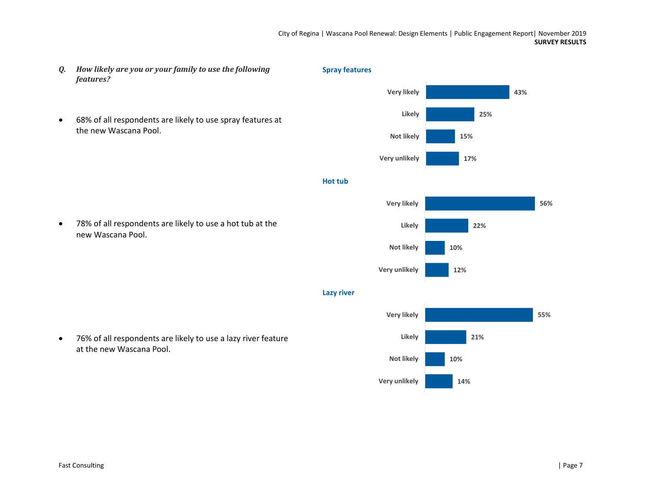- *Q. How likely are you or your family to use the following features?*
- 68% of all respondents are likely to use spray features at the new Wascana Pool.

• 78% of all respondents are likely to use a hot tub at the new Wascana Pool.



#### **Hot tub**



**Lazy river**



• 76% of all respondents are likely to use a lazy river feature at the new Wascana Pool.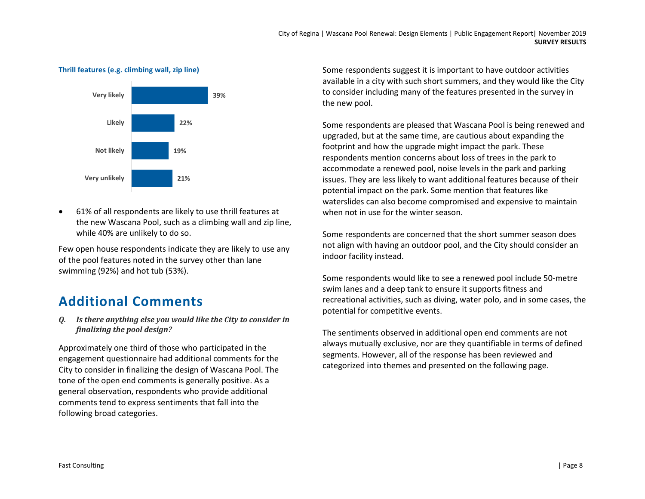**Thrill features (e.g. climbing wall, zip line)**



• 61% of all respondents are likely to use thrill features at the new Wascana Pool, such as a climbing wall and zip line, while 40% are unlikely to do so.

Few open house respondents indicate they are likely to use any of the pool features noted in the survey other than lane swimming (92%) and hot tub (53%).

### <span id="page-9-0"></span>**Additional Comments**

*Q. Is there anything else you would like the City to consider in finalizing the pool design?*

Approximately one third of those who participated in the engagement questionnaire had additional comments for the City to consider in finalizing the design of Wascana Pool. The tone of the open end comments is generally positive. As a general observation, respondents who provide additional comments tend to express sentiments that fall into the following broad categories.

Some respondents suggest it is important to have outdoor activities available in a city with such short summers, and they would like the City to consider including many of the features presented in the survey in the new pool.

Some respondents are pleased that Wascana Pool is being renewed and upgraded, but at the same time, are cautious about expanding the footprint and how the upgrade might impact the park. These respondents mention concerns about loss of trees in the park to accommodate a renewed pool, noise levels in the park and parking issues. They are less likely to want additional features because of their potential impact on the park. Some mention that features like waterslides can also become compromised and expensive to maintain when not in use for the winter season.

Some respondents are concerned that the short summer season does not align with having an outdoor pool, and the City should consider an indoor facility instead.

Some respondents would like to see a renewed pool include 50-metre swim lanes and a deep tank to ensure it supports fitness and recreational activities, such as diving, water polo, and in some cases, the potential for competitive events.

The sentiments observed in additional open end comments are not always mutually exclusive, nor are they quantifiable in terms of defined segments. However, all of the response has been reviewed and categorized into themes and presented on the following page.